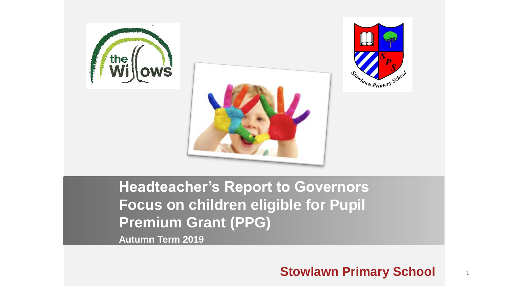





**Headteacher's Report to Governors Focus on children eligible for Pupil Premium Grant (PPG)**

**Autumn Term 2019**

### **Stowlawn Primary School** <sup>1</sup>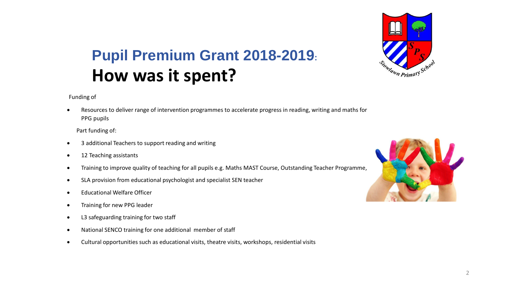

## **Pupil Premium Grant 2018-2019: How was it spent?**

Funding of

 Resources to deliver range of intervention programmes to accelerate progress in reading, writing and maths for PPG pupils

Part funding of:

- 3 additional Teachers to support reading and writing
- 12 Teaching assistants
- Training to improve quality of teaching for all pupils e.g. Maths MAST Course, Outstanding Teacher Programme,
- SLA provision from educational psychologist and specialist SEN teacher
- Educational Welfare Officer
- Training for new PPG leader
- L3 safeguarding training for two staff
- National SENCO training for one additional member of staff
- Cultural opportunities such as educational visits, theatre visits, workshops, residential visits

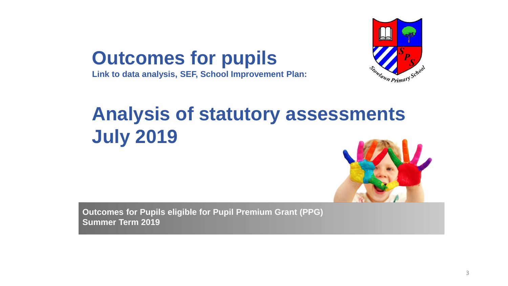



# **Analysis of statutory assessments July 2019**



**Outcomes for Pupils eligible for Pupil Premium Grant (PPG) Summer Term 2019**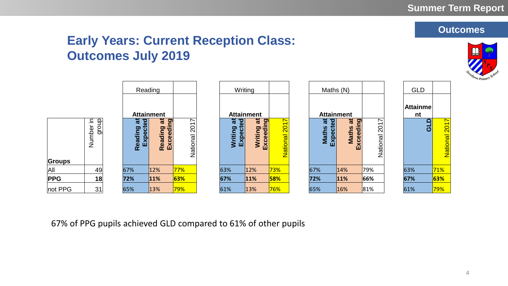

National 201

#### **1. Levels Early Years: Current Reception Class: Outcomes July 2019**

|                       |                                                | Reading                                               |                      |                                                                 | Writing                                    |                             | Maths (N)                                      |                                    |                                             | <b>GLD</b>            |                  |
|-----------------------|------------------------------------------------|-------------------------------------------------------|----------------------|-----------------------------------------------------------------|--------------------------------------------|-----------------------------|------------------------------------------------|------------------------------------|---------------------------------------------|-----------------------|------------------|
|                       |                                                | <b>Attainment</b>                                     |                      |                                                                 | <b>Attainment</b>                          |                             | <b>Attainment</b>                              |                                    |                                             | <b>Attainme</b><br>nt |                  |
| group<br>⊇.<br>Number | $\overline{\mathbf{a}}$<br>Expected<br>Reading | ត<br><b>Pa</b><br>eading<br>xceedir<br>EX<br>$\alpha$ | ∼<br>201<br>National | $\overline{\mathbf{a}}$<br>$\overline{8}$<br>Expecte<br>Writing | ត<br>$\overline{5}$<br>Writing<br>Exceedir | $\bar{}$<br>201<br>National | ಸ<br>$\overline{3}$<br>Expecte<br><b>Maths</b> | 苘<br>ဥ္<br>Maths<br><b>Exceedi</b> | $\overline{\phantom{0}}$<br>201<br>National |                       | ≏<br><u>්</u>    |
| Groups                |                                                |                                                       |                      |                                                                 |                                            |                             |                                                |                                    |                                             |                       |                  |
| All<br>49             | 67%                                            | 12%                                                   | 77%                  | 63%                                                             | 12%                                        | 73%                         | 67%                                            | 14%                                | 79%                                         | 63%                   | 71%              |
| <b>PPG</b><br>18      | 72%                                            | 11%                                                   | 63%                  | 67%                                                             | $ 11\%$                                    | 58%                         | 72%                                            | 11%                                | 66%                                         | 67%                   | 63%              |
| not PPG<br>31         | 65%                                            | 13%                                                   | 79%                  | 61%                                                             | 13%                                        | 76%                         | 65%                                            | 16%                                | 81%                                         | 61%                   | <mark>79%</mark> |

67% of PPG pupils achieved GLD compared to 61% of other pupils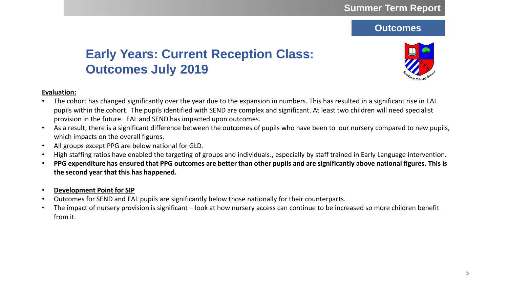#### **1. Level Early Years: Current Reception Class: Outcomes July 2019**



#### **Evaluation:**

- The cohort has changed significantly over the year due to the expansion in numbers. This has resulted in a significant rise in EAL pupils within the cohort. The pupils identified with SEND are complex and significant. At least two children will need specialist provision in the future. EAL and SEND has impacted upon outcomes.
- As a result, there is a significant difference between the outcomes of pupils who have been to our nursery compared to new pupils, which impacts on the overall figures.
- All groups except PPG are below national for GLD.
- High staffing ratios have enabled the targeting of groups and individuals., especially by staff trained in Early Language intervention.
- **PPG expenditure has ensured that PPG outcomes are better than other pupils and are significantly above national figures. This is the second year that this has happened.**
- **Development Point for SIP**
- Outcomes for SEND and EAL pupils are significantly below those nationally for their counterparts.
- The impact of nursery provision is significant look at how nursery access can continue to be increased so more children benefit from it.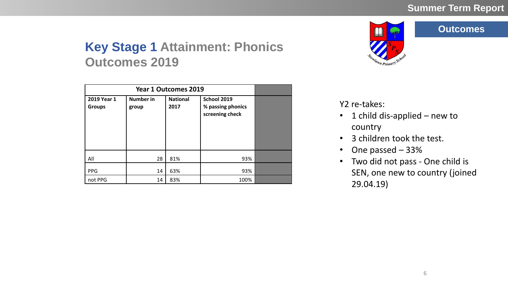# a<sub>hrn</sub> Primary

#### **Outcomes**

## **Key Stage 1 Attainment: Phonics Outcomes 2019**

| 2019 Year 1<br><b>Groups</b> | <b>Number in</b><br>group | <b>National</b><br>2017 | School 2019<br>% passing phonics<br>screening check |  |
|------------------------------|---------------------------|-------------------------|-----------------------------------------------------|--|
| All                          | 28                        | 81%                     | 93%                                                 |  |
| <b>PPG</b>                   | 14                        | 63%                     | 93%                                                 |  |
| not PPG                      | 14                        | 83%                     | 100%                                                |  |

Y2 re-takes:

- 1 child dis-applied new to country
- 3 children took the test.
- One passed 33%
- Two did not pass One child is SEN, one new to country (joined 29.04.19)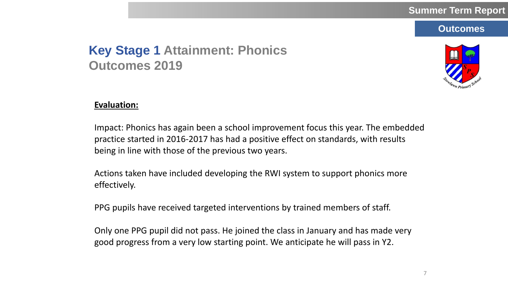## **Key Stage 1 Attainment: Phonics Outcomes 2019**



#### **Evaluation:**

Impact: Phonics has again been a school improvement focus this year. The embedded practice started in 2016-2017 has had a positive effect on standards, with results being in line with those of the previous two years.

Actions taken have included developing the RWI system to support phonics more effectively.

PPG pupils have received targeted interventions by trained members of staff.

Only one PPG pupil did not pass. He joined the class in January and has made very good progress from a very low starting point. We anticipate he will pass in Y2.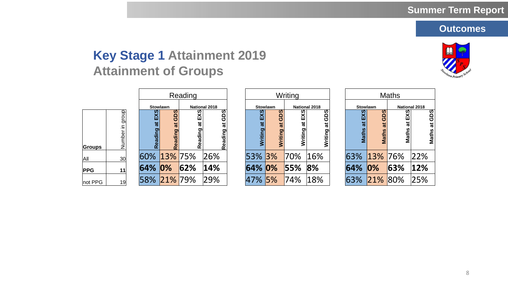## **Key Stage 1 Attainment 2019 Attainment of Groups**



| Reading       |                    |  |                 | Writing                    |                         |                      |                |                   | <b>Maths</b>     |                      |  |             |               |                        |         |
|---------------|--------------------|--|-----------------|----------------------------|-------------------------|----------------------|----------------|-------------------|------------------|----------------------|--|-------------|---------------|------------------------|---------|
|               |                    |  | <b>Stowlawn</b> |                            |                         | <b>National 2018</b> |                | <b>Stowlawn</b>   |                  | <b>National 2018</b> |  | Stowlawn    |               | <b>National 2018</b>   |         |
| <b>Groups</b> | group<br>Number in |  |                 | ທ<br>≏<br>ပ<br>π<br>eading | EXS<br>ಕ<br>ဥ<br>듕<br>œ | at GDS<br>Reading    | EXS<br>Writing | ທ<br>ಕ<br>Writing | n<br>Σ<br>riting | GDS<br>ಕ<br>Writing  |  | ဖာ<br>Math  | ທ<br><u>ဓ</u> | at EXS<br><b>Maths</b> |         |
| All           | 30                 |  | 60% 13% 75%     |                            |                         | 26%                  | 53% 3%         |                   | 70%              | 16%                  |  | 63% 13% 76% |               |                        | 22%     |
| <b>PPG</b>    | 11                 |  | 64%             | $ 0\%$                     | 62%                     | 14%                  | 64% 0%         |                   | 55%              | 8%                   |  | 64%         | $ 0\%$        | 63%                    | $ 12\%$ |
| not PPG       | 19                 |  | 58% 21% 79%     |                            |                         | 29%                  | 47% 5%         |                   | 74%              | $ 18\%$              |  | 63%         | 21% 80%       |                        | 25%     |

|          |                                  | Reading             |                        |                     |                              | Writing              |                   |                             |                      | <b>Maths</b>                |     |  |
|----------|----------------------------------|---------------------|------------------------|---------------------|------------------------------|----------------------|-------------------|-----------------------------|----------------------|-----------------------------|-----|--|
|          | Stowlawn<br><b>National 2018</b> |                     |                        | <b>Stowlawn</b>     |                              | <b>National 2018</b> | <b>Stowlawn</b>   |                             | <b>National 2018</b> |                             |     |  |
| EXS<br>ಹ | GDS<br>ಕ<br>Reading              | EXS<br>ಕ<br>Reading | ທ<br>ტ<br>ಹ<br>Reading | EXS<br>ಹ<br>Writing | ທ<br>ඏ<br>o<br><b>Writin</b> | ທ<br>只<br>Writing    | ტ<br>ಕ<br>Writing | ഗ<br>ш<br>ಹ<br><b>Maths</b> | ທ<br>ಹ<br>Maths      | ທ<br>at EX:<br><b>Maths</b> |     |  |
|          | % <mark>13%</mark> 75%           |                     | 26%                    | 53% 3%              |                              | 70%                  | 16%               | 63%                         | 13% 76%              |                             | 229 |  |
| ℅        | $ 0\%$                           | 62%                 | $ 14\%$                | 64% 0%              |                              | 55%                  | 8%                | 64%                         | $ 0\%$               | 63%                         | 129 |  |
| ℅        | $ 21\% $                         | 79%                 | 29%                    | 47% 5%              |                              | 74%                  | 18%               | 63%                         | 21%                  | 80%                         | 25% |  |

| <b>Maths</b>    |              |                      |              |  |  |  |  |  |  |  |
|-----------------|--------------|----------------------|--------------|--|--|--|--|--|--|--|
| <b>Stowlawn</b> |              | <b>National 2018</b> |              |  |  |  |  |  |  |  |
| EXS<br>Maths at | Maths at GDS | EXS<br>Maths at      | Maths at GDS |  |  |  |  |  |  |  |
| 63%             | 13% 76%      |                      | 22%          |  |  |  |  |  |  |  |
| 64%             | $ 0\%$       | 63%                  | 12%          |  |  |  |  |  |  |  |
| 63%             | 21% 80%      |                      | 25%          |  |  |  |  |  |  |  |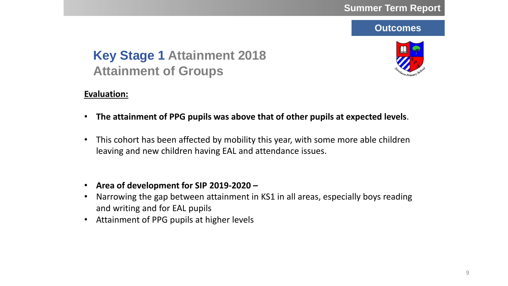## **Key Stage 1 Attainment 2018 Attainment of Groups**



#### **Evaluation:**

- **The attainment of PPG pupils was above that of other pupils at expected levels**.
- This cohort has been affected by mobility this year, with some more able children leaving and new children having EAL and attendance issues.
- **Area of development for SIP 2019-2020 –**
- Narrowing the gap between attainment in KS1 in all areas, especially boys reading and writing and for EAL pupils
- Attainment of PPG pupils at higher levels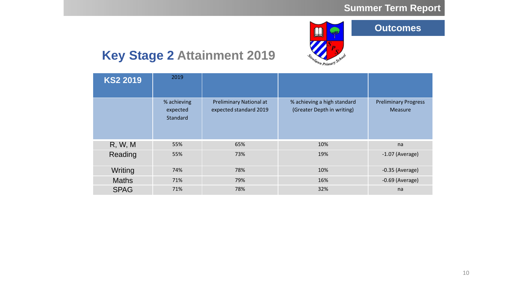

## **Key Stage 2 Attainment 2019**

| <b>KS2 2019</b> | 2019                                       |                                                          |                                                           |                                               |
|-----------------|--------------------------------------------|----------------------------------------------------------|-----------------------------------------------------------|-----------------------------------------------|
|                 | % achieving<br>expected<br><b>Standard</b> | <b>Preliminary National at</b><br>expected standard 2019 | % achieving a high standard<br>(Greater Depth in writing) | <b>Preliminary Progress</b><br><b>Measure</b> |
| R, W, M         | 55%                                        | 65%                                                      | 10%                                                       | na                                            |
| Reading         | 55%                                        | 73%                                                      | 19%                                                       | $-1.07$ (Average)                             |
| Writing         | 74%                                        | 78%                                                      | 10%                                                       | $-0.35$ (Average)                             |
| <b>Maths</b>    | 71%                                        | 79%                                                      | 16%                                                       | $-0.69$ (Average)                             |
| <b>SPAG</b>     | 71%                                        | 78%                                                      | 32%                                                       | na                                            |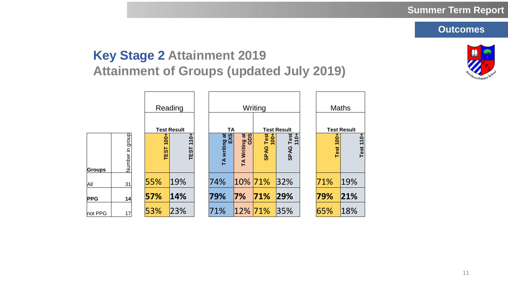## **Key Stage 2 Attainment 2019 Attainment of Groups (updated July 2019)**

|            |                 |                        | Reading        |                                        |                      | Writing                        | <b>Maths</b>                 |  |                 |                    |  |
|------------|-----------------|------------------------|----------------|----------------------------------------|----------------------|--------------------------------|------------------------------|--|-----------------|--------------------|--|
|            |                 | <b>Test Result</b>     |                | <b>TA</b>                              |                      | <b>Test Result</b>             |                              |  |                 | <b>Test Result</b> |  |
| Groups     | Number in group | $100 +$<br><b>TEST</b> | $110+$<br>TEST | $\overline{a}$<br>TA writing at<br>EXS | TA Writing at<br>GDS | Test<br>$100 +$<br><b>SPAG</b> | Test<br>$10+$<br><b>SPAG</b> |  | $100 +$<br>Test | Test 110+          |  |
| All        | 31              | 55%                    | 19%            | 74%                                    |                      | $ 10\% 71\%$                   | 32%                          |  | 71%             | 19%                |  |
| <b>PPG</b> | 14              | 57%                    | 14%            | 79%                                    | 7%                   | 71%                            | 29%                          |  | 79%             | 21%                |  |
| not PPG    | 17              | 53%                    | 23%            | 71%                                    | $ 12\% 71\%$         |                                | 35%                          |  | 65%             | 18%                |  |